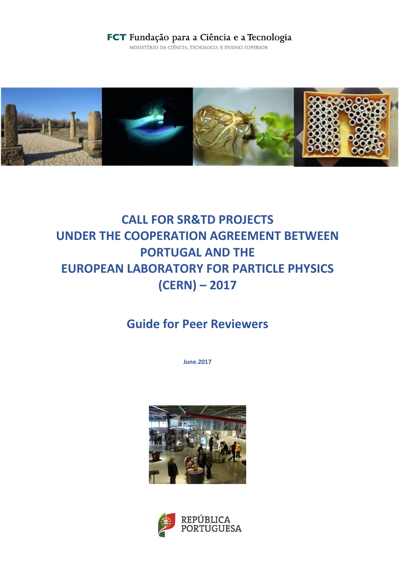## FCT Fundação para a Ciência e a Tecnologia

MINISTÉRIO DA CIÊNCIA, TECNOLOGIA E ENSINO SUPERIOR



# **CALL FOR SR&TD PROJECTS UNDER THE COOPERATION AGREEMENT BETWEEN PORTUGAL AND THE EUROPEAN LABORATORY FOR PARTICLE PHYSICS (CERN) – 2017**

## **Guide for Peer Reviewers**

**June.2017**



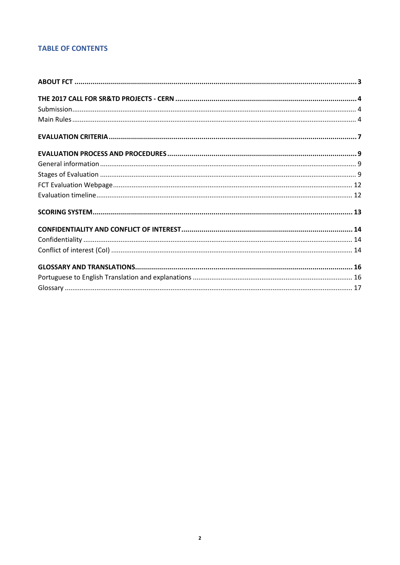## **TABLE OF CONTENTS**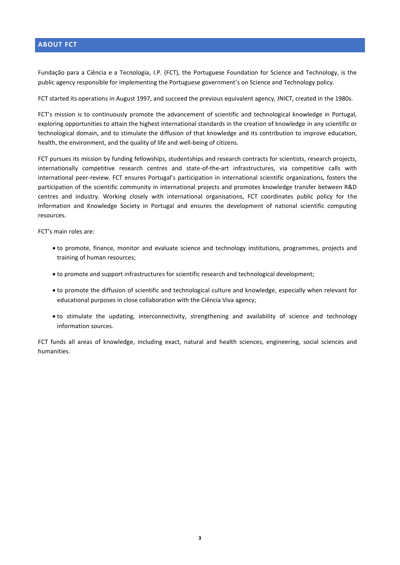#### <span id="page-2-0"></span>**ABOUT FCT**

Fundação para a Ciência e a Tecnologia, I.P. (FCT), the Portuguese Foundation for Science and Technology, is the public agency responsible for implementing the Portuguese government's on Science and Technology policy.

FCT started its operations in August 1997, and succeed the previous equivalent agency, JNICT, created in the 1980s.

FCT's mission is to continuously promote the advancement of scientific and technological knowledge in Portugal, exploring opportunities to attain the highest international standards in the creation of knowledge in any scientific or technological domain, and to stimulate the diffusion of that knowledge and its contribution to improve education, health, the environment, and the quality of life and well-being of citizens.

FCT pursues its mission by funding fellowships, studentships and research contracts for scientists, research projects, internationally competitive research centres and state-of-the-art infrastructures, via competitive calls with international peer-review. FCT ensures Portugal's participation in international scientific organizations, fosters the participation of the scientific community in international projects and promotes knowledge transfer between R&D centres and industry. Working closely with international organisations, FCT coordinates public policy for the Information and Knowledge Society in Portugal and ensures the development of national scientific computing resources.

FCT's main roles are:

- to promote, finance, monitor and evaluate science and technology institutions, programmes, projects and training of human resources;
- to promote and support infrastructures for scientific research and technological development;
- to promote the diffusion of scientific and technological culture and knowledge, especially when relevant for educational purposes in close collaboration with the Ciência Viva agency;
- to stimulate the updating, interconnectivity, strengthening and availability of science and technology information sources.

FCT funds all areas of knowledge, including exact, natural and health sciences, engineering, social sciences and humanities.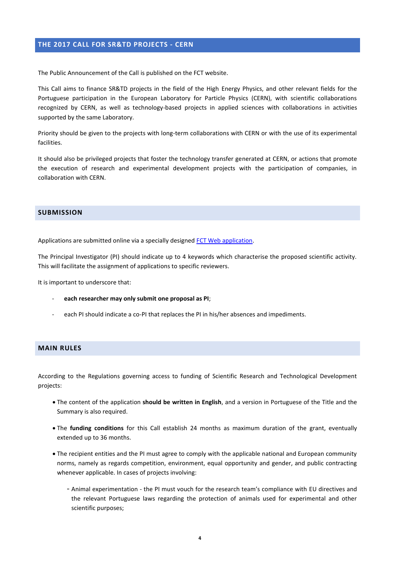#### <span id="page-3-0"></span>**THE 2017 CALL FOR SR&TD PROJECTS - CERN**

The Public Announcement of the Call is published on the FCT website.

This Call aims to finance SR&TD projects in the field of the High Energy Physics, and other relevant fields for the Portuguese participation in the European Laboratory for Particle Physics (CERN), with scientific collaborations recognized by CERN, as well as technology-based projects in applied sciences with collaborations in activities supported by the same Laboratory.

Priority should be given to the projects with long-term collaborations with CERN or with the use of its experimental facilities.

It should also be privileged projects that foster the technology transfer generated at CERN, or actions that promote the execution of research and experimental development projects with the participation of companies, in collaboration with CERN.

#### <span id="page-3-1"></span>**SUBMISSION**

Applications are submitted online via a specially designe[d FCT Web application.](https://concursos.fct.pt/projectos/)

The Principal Investigator (PI) should indicate up to 4 keywords which characterise the proposed scientific activity. This will facilitate the assignment of applications to specific reviewers.

It is important to underscore that:

- **each researcher may only submit one proposal as PI**;
- each PI should indicate a co-PI that replaces the PI in his/her absences and impediments.

#### <span id="page-3-2"></span>**MAIN RULES**

According to the Regulations governing access to funding of Scientific Research and Technological Development projects:

- The content of the application **should be written in English**, and a version in Portuguese of the Title and the Summary is also required.
- The **funding conditions** for this Call establish 24 months as maximum duration of the grant, eventually extended up to 36 months.
- The recipient entities and the PI must agree to comply with the applicable national and European community norms, namely as regards competition, environment, equal opportunity and gender, and public contracting whenever applicable. In cases of projects involving:
	- Animal experimentation the PI must vouch for the research team's compliance with EU directives and the relevant Portuguese laws regarding the protection of animals used for experimental and other scientific purposes;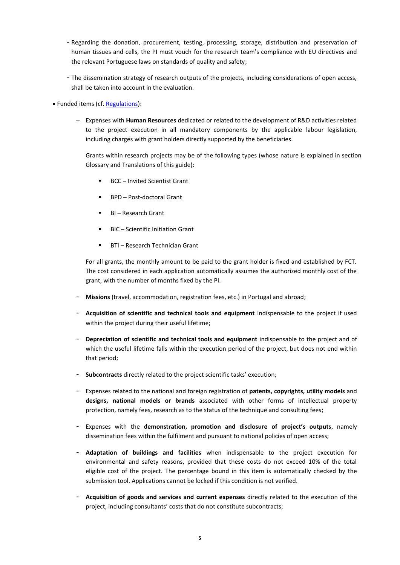- Regarding the donation, procurement, testing, processing, storage, distribution and preservation of human tissues and cells, the PI must vouch for the research team's compliance with EU directives and the relevant Portuguese laws on standards of quality and safety;
- The dissemination strategy of research outputs of the projects, including considerations of open access, shall be taken into account in the evaluation.
- Funded items (cf. [Regulations\)](http://www.fct.pt/apoios/projectos/regulamento.phtml.en):
	- Expenses with **Human Resources** dedicated or related to the development of R&D activities related to the project execution in all mandatory components by the applicable labour legislation, including charges with grant holders directly supported by the beneficiaries.

Grants within research projects may be of the following types (whose nature is explained in section Glossary and Translations of this guide):

- BCC Invited Scientist Grant
- BPD Post-doctoral Grant
- BI Research Grant
- BIC Scientific Initiation Grant
- **BTI** Research Technician Grant

For all grants, the monthly amount to be paid to the grant holder is fixed and established by FCT. The cost considered in each application automatically assumes the authorized monthly cost of the grant, with the number of months fixed by the PI.

- **Missions** (travel, accommodation, registration fees, etc.) in Portugal and abroad;
- **Acquisition of scientific and technical tools and equipment** indispensable to the project if used within the project during their useful lifetime;
- **Depreciation of scientific and technical tools and equipment** indispensable to the project and of which the useful lifetime falls within the execution period of the project, but does not end within that period;
- **Subcontracts** directly related to the project scientific tasks' execution;
- Expenses related to the national and foreign registration of **patents, copyrights, utility models** and **designs, national models or brands** associated with other forms of intellectual property protection, namely fees, research as to the status of the technique and consulting fees;
- Expenses with the **demonstration, promotion and disclosure of project's outputs**, namely dissemination fees within the fulfilment and pursuant to national policies of open access;
- **Adaptation of buildings and facilities** when indispensable to the project execution for environmental and safety reasons, provided that these costs do not exceed 10% of the total eligible cost of the project. The percentage bound in this item is automatically checked by the submission tool. Applications cannot be locked if this condition is not verified.
- **Acquisition of goods and services and current expenses** directly related to the execution of the project, including consultants' costs that do not constitute subcontracts;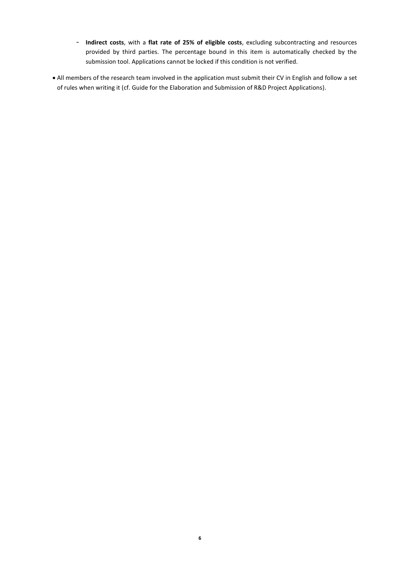- **Indirect costs**, with a **flat rate of 25% of eligible costs**, excluding subcontracting and resources provided by third parties. The percentage bound in this item is automatically checked by the submission tool. Applications cannot be locked if this condition is not verified.
- <span id="page-5-0"></span> All members of the research team involved in the application must submit their CV in English and follow a set of rules when writing it (cf. Guide for the Elaboration and Submission of R&D Project Applications).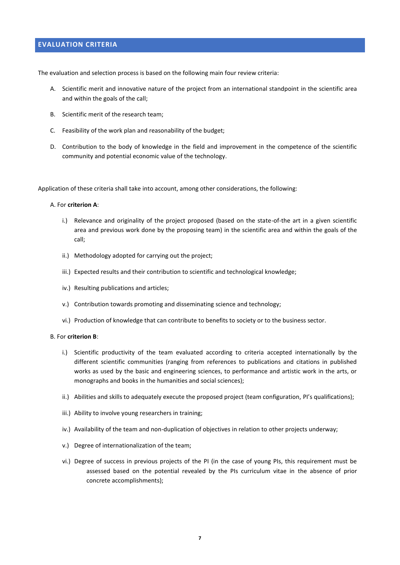#### **EVALUATION CRITERIA**

The evaluation and selection process is based on the following main four review criteria:

- A. Scientific merit and innovative nature of the project from an international standpoint in the scientific area and within the goals of the call;
- B. Scientific merit of the research team;
- C. Feasibility of the work plan and reasonability of the budget;
- D. Contribution to the body of knowledge in the field and improvement in the competence of the scientific community and potential economic value of the technology.

Application of these criteria shall take into account, among other considerations, the following:

#### A. For **criterion A**:

- i.) Relevance and originality of the project proposed (based on the state-of-the art in a given scientific area and previous work done by the proposing team) in the scientific area and within the goals of the call;
- ii.) Methodology adopted for carrying out the project;
- iii.) Expected results and their contribution to scientific and technological knowledge;
- iv.) Resulting publications and articles;
- v.) Contribution towards promoting and disseminating science and technology;
- vi.) Production of knowledge that can contribute to benefits to society or to the business sector.

#### B. For **criterion B**:

- i.) Scientific productivity of the team evaluated according to criteria accepted internationally by the different scientific communities (ranging from references to publications and citations in published works as used by the basic and engineering sciences, to performance and artistic work in the arts, or monographs and books in the humanities and social sciences);
- ii.) Abilities and skills to adequately execute the proposed project (team configuration, PI's qualifications);
- iii.) Ability to involve young researchers in training;
- iv.) Availability of the team and non-duplication of objectives in relation to other projects underway;
- v.) Degree of internationalization of the team;
- vi.) Degree of success in previous projects of the PI (in the case of young PIs, this requirement must be assessed based on the potential revealed by the PIs curriculum vitae in the absence of prior concrete accomplishments);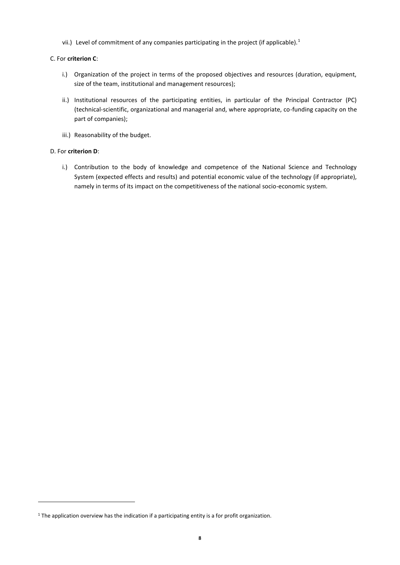vii.) Level of commitment of any companies participating in the project (if applicable).<sup>1</sup>

#### C. For **criterion C**:

- i.) Organization of the project in terms of the proposed objectives and resources (duration, equipment, size of the team, institutional and management resources);
- ii.) Institutional resources of the participating entities, in particular of the Principal Contractor (PC) (technical-scientific, organizational and managerial and, where appropriate, co-funding capacity on the part of companies);
- iii.) Reasonability of the budget.

#### D. For **criterion D**:

**.** 

<span id="page-7-0"></span>i.) Contribution to the body of knowledge and competence of the National Science and Technology System (expected effects and results) and potential economic value of the technology (if appropriate), namely in terms of its impact on the competitiveness of the national socio-economic system.

<sup>&</sup>lt;sup>1</sup> The application overview has the indication if a participating entity is a for profit organization.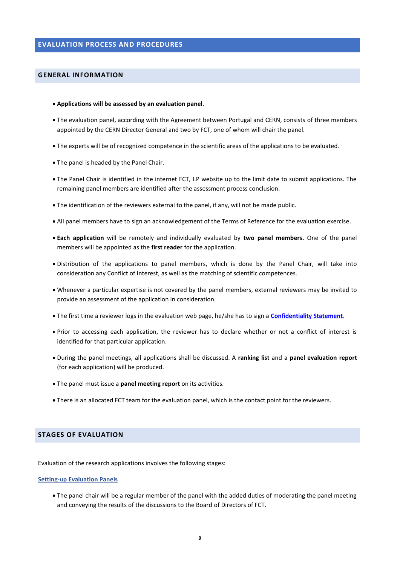#### <span id="page-8-0"></span>**GENERAL INFORMATION**

- **Applications will be assessed by an evaluation panel**.
- The evaluation panel, according with the Agreement between Portugal and CERN, consists of three members appointed by the CERN Director General and two by FCT, one of whom will chair the panel.
- The experts will be of recognized competence in the scientific areas of the applications to be evaluated.
- The panel is headed by the Panel Chair.
- The Panel Chair is identified in the internet FCT, I.P website up to the limit date to submit applications. The remaining panel members are identified after the assessment process conclusion.
- The identification of the reviewers external to the panel, if any, will not be made public.
- All panel members have to sign an acknowledgement of the Terms of Reference for the evaluation exercise.
- **Each application** will be remotely and individually evaluated by **two panel members.** One of the panel members will be appointed as the **first reader** for the application.
- Distribution of the applications to panel members, which is done by the Panel Chair, will take into consideration any Conflict of Interest, as well as the matching of scientific competences.
- Whenever a particular expertise is not covered by the panel members, external reviewers may be invited to provide an assessment of the application in consideration.
- The first time a reviewer logs in the evaluation web page, he/she has to sign a **[Confidentiality Statement](#page-13-0)**.
- Prior to accessing each application, the reviewer has to declare whether or not a conflict of interest is identified for that particular application.
- During the panel meetings, all applications shall be discussed. A **ranking list** and a **panel evaluation report**  (for each application) will be produced.
- The panel must issue a **panel meeting report** on its activities.
- There is an allocated FCT team for the evaluation panel, which is the contact point for the reviewers.

#### <span id="page-8-1"></span>**STAGES OF EVALUATION**

Evaluation of the research applications involves the following stages:

#### **Setting-up Evaluation Panels**

 The panel chair will be a regular member of the panel with the added duties of moderating the panel meeting and conveying the results of the discussions to the Board of Directors of FCT.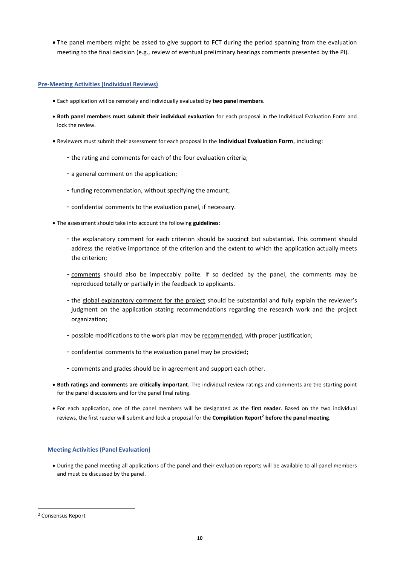The panel members might be asked to give support to FCT during the period spanning from the evaluation meeting to the final decision (e.g., review of eventual preliminary hearings comments presented by the PI).

#### **Pre-Meeting Activities (Individual Reviews)**

- Each application will be remotely and individually evaluated by **two panel members**.
- **Both panel members must submit their individual evaluation** for each proposal in the Individual Evaluation Form and lock the review.
- Reviewers must submit their assessment for each proposal in the **Individual Evaluation Form**, including:
	- the rating and comments for each of the four evaluation criteria;
	- a general comment on the application;
	- funding recommendation, without specifying the amount;
	- confidential comments to the evaluation panel, if necessary.
- The assessment should take into account the following **guidelines**:
	- the explanatory comment for each criterion should be succinct but substantial. This comment should address the relative importance of the criterion and the extent to which the application actually meets the criterion;
	- comments should also be impeccably polite. If so decided by the panel, the comments may be reproduced totally or partially in the feedback to applicants.
	- the global explanatory comment for the project should be substantial and fully explain the reviewer's judgment on the application stating recommendations regarding the research work and the project organization;
	- possible modifications to the work plan may be recommended, with proper justification;
	- confidential comments to the evaluation panel may be provided;
	- comments and grades should be in agreement and support each other.
- **Both ratings and comments are critically important.** The individual review ratings and comments are the starting point for the panel discussions and for the panel final rating.
- For each application, one of the panel members will be designated as the **first reader**. Based on the two individual reviews, the first reader will submit and lock a proposal for the **Compilation Report<sup>2</sup> before the panel meeting**.

#### **Meeting Activities (Panel Evaluation)**

 During the panel meeting all applications of the panel and their evaluation reports will be available to all panel members and must be discussed by the panel.

**.** 

<sup>2</sup> Consensus Report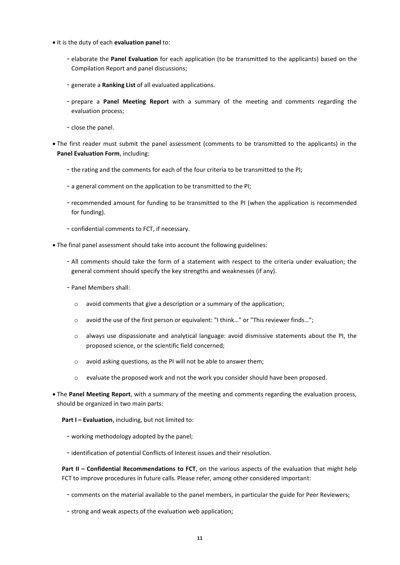- $\bullet$  It is the duty of each **evaluation panel** to:
	- elaborate the **Panel Evaluation** for each application (to be transmitted to the applicants) based on the Compilation Report and panel discussions;
	- generate a **Ranking List** of all evaluated applications.
	- prepare a **Panel Meeting Report** with a summary of the meeting and comments regarding the evaluation process;
	- close the panel.
- The first reader must submit the panel assessment (comments to be transmitted to the applicants) in the **Panel Evaluation Form**, including:
	- the rating and the comments for each of the four criteria to be transmitted to the PI;
	- a general comment on the application to be transmitted to the PI;
	- recommended amount for funding to be transmitted to the PI (when the application is recommended for funding).
	- confidential comments to FCT, if necessary.
- The final panel assessment should take into account the following guidelines:
	- All comments should take the form of a statement with respect to the criteria under evaluation; the general comment should specify the key strengths and weaknesses (if any).
	- Panel Members shall:
		- o avoid comments that give a description or a summary of the application;
		- o avoid the use of the first person or equivalent: "I think…" or "This reviewer finds…";
		- $\circ$  always use dispassionate and analytical language: avoid dismissive statements about the PI, the proposed science, or the scientific field concerned;
		- o avoid asking questions, as the PI will not be able to answer them;
		- o evaluate the proposed work and not the work you consider should have been proposed.
- The **Panel Meeting Report**, with a summary of the meeting and comments regarding the evaluation process, should be organized in two main parts:

**Part I - Evaluation**, including, but not limited to:

- working methodology adopted by the panel;
- identification of potential Conflicts of Interest issues and their resolution.

**Part II – Confidential Recommendations to FCT**, on the various aspects of the evaluation that might help FCT to improve procedures in future calls. Please refer, among other considered important:

- comments on the material available to the panel members, in particular the guide for Peer Reviewers;
- strong and weak aspects of the evaluation web application;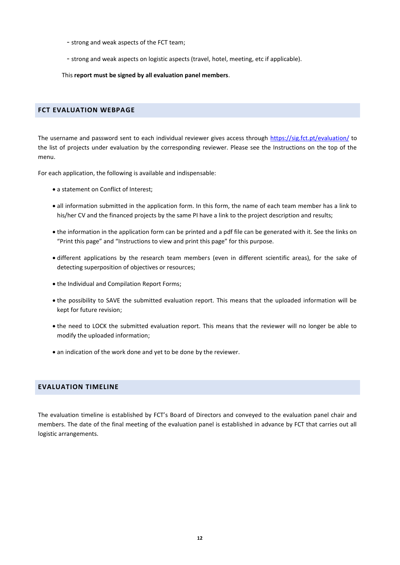- strong and weak aspects of the FCT team;
- strong and weak aspects on logistic aspects (travel, hotel, meeting, etc if applicable).

This **report must be signed by all evaluation panel members**.

#### <span id="page-11-0"></span>**FCT EVALUATION WEBPAGE**

The username and password sent to each individual reviewer gives access through<https://sig.fct.pt/evaluation/> to the list of projects under evaluation by the corresponding reviewer. Please see the Instructions on the top of the menu.

For each application, the following is available and indispensable:

- a statement on Conflict of Interest;
- all information submitted in the application form. In this form, the name of each team member has a link to his/her CV and the financed projects by the same PI have a link to the project description and results;
- the information in the application form can be printed and a pdf file can be generated with it. See the links on "Print this page" and "Instructions to view and print this page" for this purpose.
- different applications by the research team members (even in different scientific areas), for the sake of detecting superposition of objectives or resources;
- $\bullet$  the Individual and Compilation Report Forms;
- the possibility to SAVE the submitted evaluation report. This means that the uploaded information will be kept for future revision;
- the need to LOCK the submitted evaluation report. This means that the reviewer will no longer be able to modify the uploaded information;
- an indication of the work done and yet to be done by the reviewer.

#### <span id="page-11-1"></span>**EVALUATION TIMELINE**

<span id="page-11-2"></span>The evaluation timeline is established by FCT's Board of Directors and conveyed to the evaluation panel chair and members. The date of the final meeting of the evaluation panel is established in advance by FCT that carries out all logistic arrangements.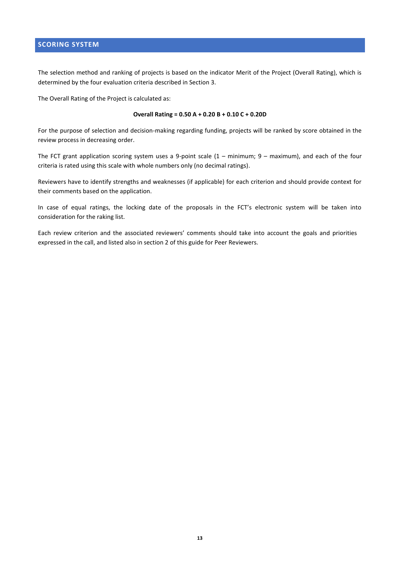#### **SCORING SYSTEM**

The selection method and ranking of projects is based on the indicator Merit of the Project (Overall Rating), which is determined by the four evaluation criteria described in Section 3.

The Overall Rating of the Project is calculated as:

#### **Overall Rating = 0.50 A + 0.20 B + 0.10 C + 0.20D**

For the purpose of selection and decision-making regarding funding, projects will be ranked by score obtained in the review process in decreasing order.

The FCT grant application scoring system uses a 9-point scale (1 – minimum; 9 – maximum), and each of the four criteria is rated using this scale with whole numbers only (no decimal ratings).

Reviewers have to identify strengths and weaknesses (if applicable) for each criterion and should provide context for their comments based on the application.

In case of equal ratings, the locking date of the proposals in the FCT's electronic system will be taken into consideration for the raking list.

<span id="page-12-0"></span>Each review criterion and the associated reviewers' comments should take into account the goals and priorities expressed in the call, and listed also in section 2 of this guide for Peer Reviewers.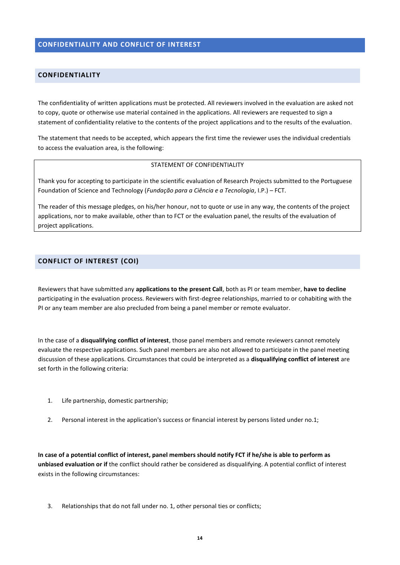#### **CONFIDENTIALITY AND CONFLICT OF INTEREST**

#### <span id="page-13-0"></span>**CONFIDENTIALITY**

The confidentiality of written applications must be protected. All reviewers involved in the evaluation are asked not to copy, quote or otherwise use material contained in the applications. All reviewers are requested to sign a statement of confidentiality relative to the contents of the project applications and to the results of the evaluation.

The statement that needs to be accepted, which appears the first time the reviewer uses the individual credentials to access the evaluation area, is the following:

#### STATEMENT OF CONFIDENTIALITY

Thank you for accepting to participate in the scientific evaluation of Research Projects submitted to the Portuguese Foundation of Science and Technology (*Fundação para a Ciência e a Tecnologia*, I.P.) – FCT.

The reader of this message pledges, on his/her honour, not to quote or use in any way, the contents of the project applications, nor to make available, other than to FCT or the evaluation panel, the results of the evaluation of project applications.

#### <span id="page-13-1"></span>**CONFLICT OF INTEREST (COI)**

Reviewers that have submitted any **applications to the present Call**, both as PI or team member, **have to decline** participating in the evaluation process. Reviewers with first-degree relationships, married to or cohabiting with the PI or any team member are also precluded from being a panel member or remote evaluator.

In the case of a **disqualifying conflict of interest**, those panel members and remote reviewers cannot remotely evaluate the respective applications. Such panel members are also not allowed to participate in the panel meeting discussion of these applications. Circumstances that could be interpreted as a **disqualifying conflict of interest** are set forth in the following criteria:

- 1. Life partnership, domestic partnership;
- 2. Personal interest in the application's success or financial interest by persons listed under no.1;

**In case of a potential conflict of interest, panel members should notify FCT if he/she is able to perform as unbiased evaluation or if** the conflict should rather be considered as disqualifying. A potential conflict of interest exists in the following circumstances:

3. Relationships that do not fall under no. 1, other personal ties or conflicts;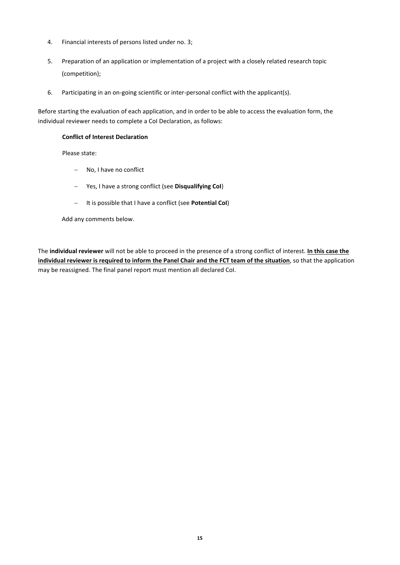- 4. Financial interests of persons listed under no. 3;
- 5. Preparation of an application or implementation of a project with a closely related research topic (competition);
- 6. Participating in an on-going scientific or inter-personal conflict with the applicant(s).

Before starting the evaluation of each application, and in order to be able to access the evaluation form, the individual reviewer needs to complete a CoI Declaration, as follows:

#### **Conflict of Interest Declaration**

Please state:

- No, I have no conflict
- Yes, I have a strong conflict (see **Disqualifying CoI**)
- It is possible that I have a conflict (see **Potential CoI**)

Add any comments below.

The **individual reviewer** will not be able to proceed in the presence of a strong conflict of interest. **In this case the individual reviewer is required to inform the Panel Chair and the FCT team of the situation**, so that the application may be reassigned. The final panel report must mention all declared CoI.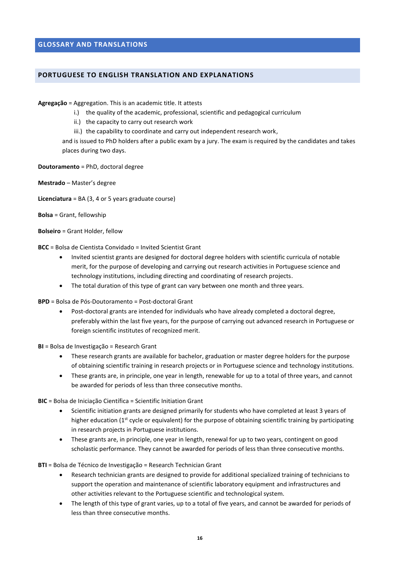#### <span id="page-15-0"></span>**GLOSSARY AND TRANSLATIONS**

#### <span id="page-15-1"></span>**PORTUGUESE TO ENGLISH TRANSLATION AND EXPLANATIONS**

**Agregação** = Aggregation. This is an academic title. It attests

- i.) the quality of the academic, professional, scientific and pedagogical curriculum
- ii.) the capacity to carry out research work
- iii.) the capability to coordinate and carry out independent research work,

and is issued to PhD holders after a public exam by a jury. The exam is required by the candidates and takes places during two days.

**Doutoramento** = PhD, doctoral degree

**Mestrado** – Master's degree

**Licenciatura** = BA (3, 4 or 5 years graduate course)

**Bolsa** = Grant, fellowship

**Bolseiro** = Grant Holder, fellow

- **BCC** = Bolsa de Cientista Convidado = Invited Scientist Grant
	- Invited scientist grants are designed for doctoral degree holders with scientific curricula of notable merit, for the purpose of developing and carrying out research activities in Portuguese science and technology institutions, including directing and coordinating of research projects.
	- The total duration of this type of grant can vary between one month and three years.
- **BPD** = Bolsa de Pós-Doutoramento = Post-doctoral Grant
	- Post-doctoral grants are intended for individuals who have already completed a doctoral degree, preferably within the last five years, for the purpose of carrying out advanced research in Portuguese or foreign scientific institutes of recognized merit.

**BI** = Bolsa de Investigação = Research Grant

- These research grants are available for bachelor, graduation or master degree holders for the purpose of obtaining scientific training in research projects or in Portuguese science and technology institutions.
- These grants are, in principle, one year in length, renewable for up to a total of three years, and cannot be awarded for periods of less than three consecutive months.

**BIC** = Bolsa de Iniciação Científica = Scientific Initiation Grant

- Scientific initiation grants are designed primarily for students who have completed at least 3 years of higher education (1<sup>st</sup> cycle or equivalent) for the purpose of obtaining scientific training by participating in research projects in Portuguese institutions.
- These grants are, in principle, one year in length, renewal for up to two years, contingent on good scholastic performance. They cannot be awarded for periods of less than three consecutive months.

**BTI** = Bolsa de Técnico de Investigação = Research Technician Grant

- Research technician grants are designed to provide for additional specialized training of technicians to support the operation and maintenance of scientific laboratory equipment and infrastructures and other activities relevant to the Portuguese scientific and technological system.
- The length of this type of grant varies, up to a total of five years, and cannot be awarded for periods of less than three consecutive months.